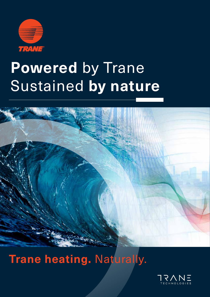

# **Powered** by Trane Sustained **by nature**



**Trane heating. Naturally.** 

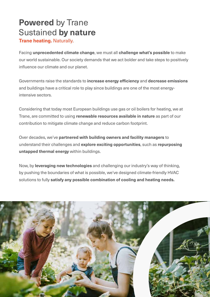# **Powered** by Trane Sustained **by nature**

**Trane heating.** Naturally.

Facing **unprecedented climate change**, we must all **challenge what's possible** to make our world sustainable. Our society demands that we act bolder and take steps to positively influence our climate and our planet.

Governments raise the standards to **increase energy efficiency** and **decrease emissions** and buildings have a critical role to play since buildings are one of the most energyintensive sectors.

Considering that today most European buildings use gas or oil boilers for heating, we at Trane, are committed to using **renewable resources available in nature** as part of our contribution to mitigate climate change and reduce carbon footprint.

Over decades, we've **partnered with building owners and facility managers** to understand their challenges and **explore exciting opportunities**, such as **repurposing untapped thermal energy** within buildings.

Now, by **leveraging new technologies** and challenging our industry's way of thinking, by pushing the boundaries of what is possible, we've designed climate-friendly HVAC solutions to fully **satisfy any possible combination of cooling and heating needs.**

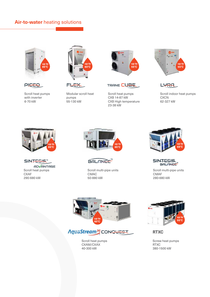## **Air-to-water** heating solutions



**PIEEQ** 

Scroll heat pumps with inverter 6-70 kW



**FLEX** 

Modular scroll heat pumps 55-130 kW





Scroll heat pumps CXB 14-87 kW CXB High temperature 23-38 kW





Scroll indoor heat pumps **CXCN** 62-327 kW



SINTESIS<sup>"</sup> ADVANTAGE

Scroll heat pumps **CXAF** 290-680 kW



**BALANCE** 

Scroll multi-pipe units CMAC 50-880 kW



**SINTESIS** BALANCE"

Scroll multi-pipe units CMAF 280-680 kW



AquaStream<sup>36</sup>CONQUEST

Scroll heat pumps CXAM/CXAX 40-300 kW



**RTXC**

Screw heat pumps RTXC 380-1500 kW